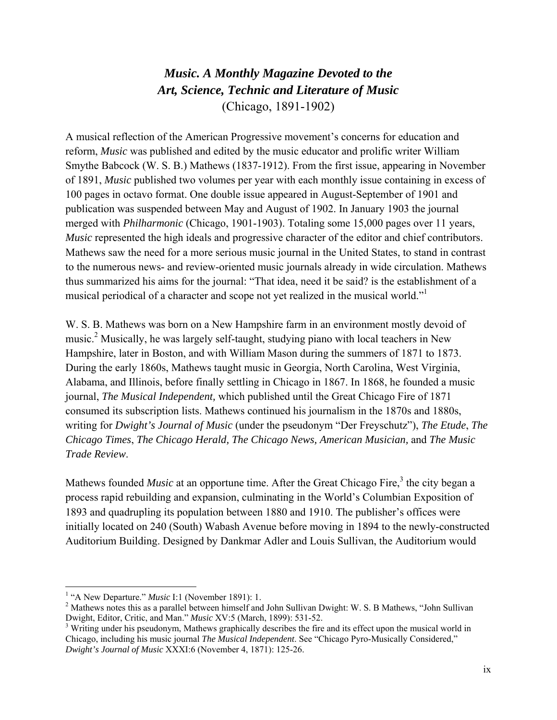# *Music. A Monthly Magazine Devoted to the Art, Science, Technic and Literature of Music* (Chicago, 1891-1902)

A musical reflection of the American Progressive movement's concerns for education and reform, *Music* was published and edited by the music educator and prolific writer William Smythe Babcock (W. S. B.) Mathews (1837-1912). From the first issue, appearing in November of 1891, *Music* published two volumes per year with each monthly issue containing in excess of 100 pages in octavo format. One double issue appeared in August-September of 1901 and publication was suspended between May and August of 1902. In January 1903 the journal merged with *Philharmonic* (Chicago, 1901-1903). Totaling some 15,000 pages over 11 years, *Music* represented the high ideals and progressive character of the editor and chief contributors. Mathews saw the need for a more serious music journal in the United States, to stand in contrast to the numerous news- and review-oriented music journals already in wide circulation. Mathews thus summarized his aims for the journal: "That idea, need it be said? is the establishment of a musical periodical of a character and scope not yet realized in the musical world."1

W. S. B. Mathews was born on a New Hampshire farm in an environment mostly devoid of music.<sup>2</sup> Musically, he was largely self-taught, studying piano with local teachers in New Hampshire, later in Boston, and with William Mason during the summers of 1871 to 1873. During the early 1860s, Mathews taught music in Georgia, North Carolina, West Virginia, Alabama, and Illinois, before finally settling in Chicago in 1867. In 1868, he founded a music journal, *The Musical Independent,* which published until the Great Chicago Fire of 1871 consumed its subscription lists. Mathews continued his journalism in the 1870s and 1880s, writing for *Dwight's Journal of Music* (under the pseudonym "Der Freyschutz"), *The Etude*, *The Chicago Times*, *The Chicago Herald, The Chicago News, American Musician,* and *The Music Trade Review*.

Mathews founded *Music* at an opportune time. After the Great Chicago Fire,<sup>3</sup> the city began a process rapid rebuilding and expansion, culminating in the World's Columbian Exposition of 1893 and quadrupling its population between 1880 and 1910. The publisher's offices were initially located on 240 (South) Wabash Avenue before moving in 1894 to the newly-constructed Auditorium Building. Designed by Dankmar Adler and Louis Sullivan, the Auditorium would

<sup>&</sup>lt;sup>1</sup> "A New Departure." *Music* I:1 (November 1891): 1.<br><sup>2</sup> Mathews notes this as a norallal between himself and

<sup>&</sup>lt;sup>2</sup> Mathews notes this as a parallel between himself and John Sullivan Dwight: W. S. B Mathews, "John Sullivan" Dwight, Editor, Critic, and Man." *Music* XV:5 (March, 1899): 531-52. 3

<sup>&</sup>lt;sup>3</sup> Writing under his pseudonym, Mathews graphically describes the fire and its effect upon the musical world in Chicago, including his music journal *The Musical Independent*. See "Chicago Pyro-Musically Considered," *Dwight's Journal of Music* XXXI:6 (November 4, 1871): 125-26.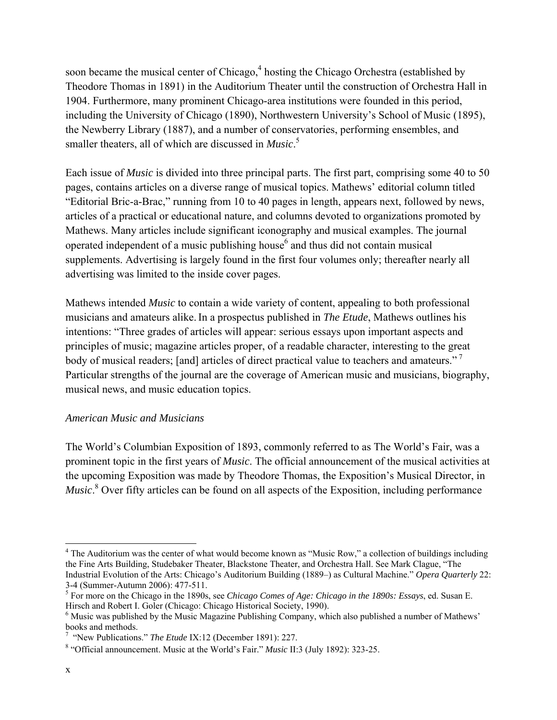soon became the musical center of Chicago,<sup>4</sup> hosting the Chicago Orchestra (established by Theodore Thomas in 1891) in the Auditorium Theater until the construction of Orchestra Hall in 1904. Furthermore, many prominent Chicago-area institutions were founded in this period, including the University of Chicago (1890), Northwestern University's School of Music (1895), the Newberry Library (1887), and a number of conservatories, performing ensembles, and smaller theaters, all of which are discussed in *Music*. 5

Each issue of *Music* is divided into three principal parts. The first part, comprising some 40 to 50 pages, contains articles on a diverse range of musical topics. Mathews' editorial column titled "Editorial Bric-a-Brac," running from 10 to 40 pages in length, appears next, followed by news, articles of a practical or educational nature, and columns devoted to organizations promoted by Mathews. Many articles include significant iconography and musical examples. The journal operated independent of a music publishing house $<sup>6</sup>$  and thus did not contain musical</sup> supplements. Advertising is largely found in the first four volumes only; thereafter nearly all advertising was limited to the inside cover pages.

Mathews intended *Music* to contain a wide variety of content, appealing to both professional musicians and amateurs alike.In a prospectus published in *The Etude*, Mathews outlines his intentions: "Three grades of articles will appear: serious essays upon important aspects and principles of music; magazine articles proper, of a readable character, interesting to the great body of musical readers; [and] articles of direct practical value to teachers and amateurs." Particular strengths of the journal are the coverage of American music and musicians, biography, musical news, and music education topics.

### *American Music and Musicians*

The World's Columbian Exposition of 1893, commonly referred to as The World's Fair, was a prominent topic in the first years of *Music*. The official announcement of the musical activities at the upcoming Exposition was made by Theodore Thomas, the Exposition's Musical Director, in *Music*.<sup>8</sup> Over fifty articles can be found on all aspects of the Exposition, including performance

<sup>&</sup>lt;sup>4</sup> The Auditorium was the center of what would become known as "Music Row," a collection of buildings including the Fine Arts Building, Studebaker Theater, Blackstone Theater, and Orchestra Hall. See Mark Clague, "The Industrial Evolution of the Arts: Chicago's Auditorium Building (1889–) as Cultural Machine." *Opera Quarterly* 22: 3-4 (Summer-Autumn 2006): 477-511.

<sup>5</sup> For more on the Chicago in the 1890s, see *Chicago Comes of Age: Chicago in the 1890s: Essays*, ed. Susan E. Hirsch and Robert I. Goler (Chicago: Chicago Historical Society, 1990).

<sup>&</sup>lt;sup>6</sup> Music was published by the Music Magazine Publishing Company, which also published a number of Mathews' books and methods.

<sup>&</sup>lt;sup>7</sup> "New Publications." *The Etude* IX:12 (December 1891): 227.

 <sup>&</sup>quot;Official announcement. Music at the World's Fair." *Music* II:3 (July 1892): 323-25.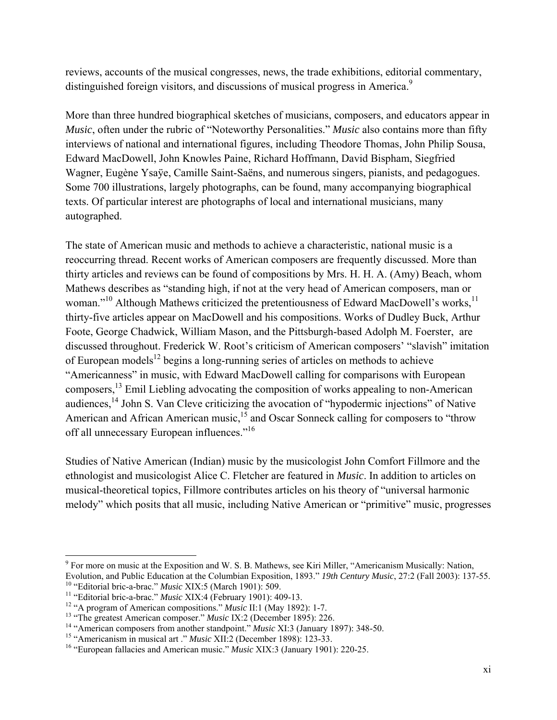reviews, accounts of the musical congresses, news, the trade exhibitions, editorial commentary, distinguished foreign visitors, and discussions of musical progress in America.<sup>9</sup>

More than three hundred biographical sketches of musicians, composers, and educators appear in *Music*, often under the rubric of "Noteworthy Personalities." *Music* also contains more than fifty interviews of national and international figures, including Theodore Thomas, John Philip Sousa, Edward MacDowell, John Knowles Paine, Richard Hoffmann, David Bispham, Siegfried Wagner, Eugène Ysaÿe, Camille Saint-Saëns, and numerous singers, pianists, and pedagogues. Some 700 illustrations, largely photographs, can be found, many accompanying biographical texts. Of particular interest are photographs of local and international musicians, many autographed.

The state of American music and methods to achieve a characteristic, national music is a reoccurring thread. Recent works of American composers are frequently discussed. More than thirty articles and reviews can be found of compositions by Mrs. H. H. A. (Amy) Beach, whom Mathews describes as "standing high, if not at the very head of American composers, man or woman."<sup>10</sup> Although Mathews criticized the pretentiousness of Edward MacDowell's works,  $^{11}$ thirty-five articles appear on MacDowell and his compositions. Works of Dudley Buck, Arthur Foote, George Chadwick, William Mason, and the Pittsburgh-based Adolph M. Foerster, are discussed throughout. Frederick W. Root's criticism of American composers' "slavish" imitation of European models<sup>12</sup> begins a long-running series of articles on methods to achieve "Americanness" in music, with Edward MacDowell calling for comparisons with European composers,<sup>13</sup> Emil Liebling advocating the composition of works appealing to non-American audiences,<sup>14</sup> John S. Van Cleve criticizing the avocation of "hypodermic injections" of Native American and African American music,<sup>15</sup> and Oscar Sonneck calling for composers to "throw off all unnecessary European influences."<sup>16</sup>

Studies of Native American (Indian) music by the musicologist John Comfort Fillmore and the ethnologist and musicologist Alice C. Fletcher are featured in *Music*. In addition to articles on musical-theoretical topics, Fillmore contributes articles on his theory of "universal harmonic melody" which posits that all music, including Native American or "primitive" music, progresses

<sup>&</sup>lt;sup>9</sup> For more on music at the Exposition and W. S. B. Mathews, see Kiri Miller, "Americanism Musically: Nation, Evolution, and Public Education at the Columbian Exposition, 1893." 19th Century Music, 27:2 (Fall 2003): 137-55.<br>
<sup>10</sup> "Editorial bric-a-brac." Music XIX:5 (March 1901): 509.<br>
<sup>11</sup> "Editorial bric-a-brac." Music XIX:4 (Fe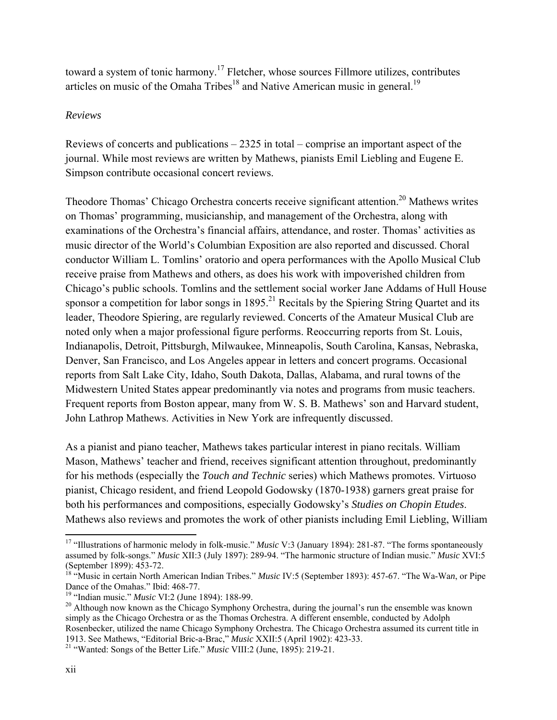toward a system of tonic harmony.<sup>17</sup> Fletcher, whose sources Fillmore utilizes, contributes articles on music of the Omaha Tribes<sup>18</sup> and Native American music in general.<sup>19</sup>

### *Reviews*

Reviews of concerts and publications – 2325 in total – comprise an important aspect of the journal. While most reviews are written by Mathews, pianists Emil Liebling and Eugene E. Simpson contribute occasional concert reviews.

Theodore Thomas' Chicago Orchestra concerts receive significant attention.<sup>20</sup> Mathews writes on Thomas' programming, musicianship, and management of the Orchestra, along with examinations of the Orchestra's financial affairs, attendance, and roster. Thomas' activities as music director of the World's Columbian Exposition are also reported and discussed. Choral conductor William L. Tomlins' oratorio and opera performances with the Apollo Musical Club receive praise from Mathews and others, as does his work with impoverished children from Chicago's public schools. Tomlins and the settlement social worker Jane Addams of Hull House sponsor a competition for labor songs in  $1895<sup>21</sup>$  Recitals by the Spiering String Quartet and its leader, Theodore Spiering, are regularly reviewed. Concerts of the Amateur Musical Club are noted only when a major professional figure performs. Reoccurring reports from St. Louis, Indianapolis, Detroit, Pittsburgh, Milwaukee, Minneapolis, South Carolina, Kansas, Nebraska, Denver, San Francisco, and Los Angeles appear in letters and concert programs. Occasional reports from Salt Lake City, Idaho, South Dakota, Dallas, Alabama, and rural towns of the Midwestern United States appear predominantly via notes and programs from music teachers. Frequent reports from Boston appear, many from W. S. B. Mathews' son and Harvard student, John Lathrop Mathews. Activities in New York are infrequently discussed.

As a pianist and piano teacher, Mathews takes particular interest in piano recitals. William Mason, Mathews' teacher and friend, receives significant attention throughout, predominantly for his methods (especially the *Touch and Technic* series) which Mathews promotes. Virtuoso pianist, Chicago resident, and friend Leopold Godowsky (1870-1938) garners great praise for both his performances and compositions, especially Godowsky's *Studies on Chopin Etudes*. Mathews also reviews and promotes the work of other pianists including Emil Liebling, William

 17 "Illustrations of harmonic melody in folk-music." *Music* V:3 (January 1894): 281-87. "The forms spontaneously assumed by folk-songs." *Music* XII:3 (July 1897): 289-94. "The harmonic structure of Indian music." *Music* XVI:5 (September 1899): 453-72.

<sup>18 &</sup>quot;Music in certain North American Indian Tribes." *Music* IV:5 (September 1893): 457-67. "The Wa-Wa*n*, or Pipe Dance of the Omahas." Ibid: 468-77.<br><sup>19</sup> "Indian music." *Music* VI:2 (June 1894): 188-99.

<sup>&</sup>lt;sup>20</sup> Although now known as the Chicago Symphony Orchestra, during the journal's run the ensemble was known simply as the Chicago Orchestra or as the Thomas Orchestra. A different ensemble, conducted by Adolph Rosenbecker, utilized the name Chicago Symphony Orchestra. The Chicago Orchestra assumed its current title in 1913. See Mathews, "Editorial Bric-a-Brac," *Music* XXII:5 (April 1902): 423-33. 21 "Wanted: Songs of the Better Life." *Music* VIII:2 (June, 1895): 219-21.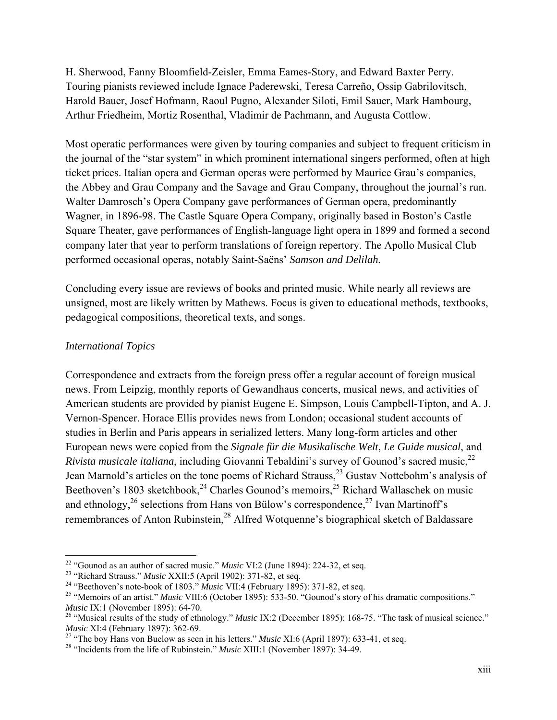H. Sherwood, Fanny Bloomfield-Zeisler, Emma Eames-Story, and Edward Baxter Perry. Touring pianists reviewed include Ignace Paderewski, Teresa Carreño, Ossip Gabrilovitsch, Harold Bauer, Josef Hofmann, Raoul Pugno, Alexander Siloti, Emil Sauer, Mark Hambourg, Arthur Friedheim, Mortiz Rosenthal, Vladimir de Pachmann, and Augusta Cottlow.

Most operatic performances were given by touring companies and subject to frequent criticism in the journal of the "star system" in which prominent international singers performed, often at high ticket prices. Italian opera and German operas were performed by Maurice Grau's companies, the Abbey and Grau Company and the Savage and Grau Company, throughout the journal's run. Walter Damrosch's Opera Company gave performances of German opera, predominantly Wagner, in 1896-98. The Castle Square Opera Company, originally based in Boston's Castle Square Theater, gave performances of English-language light opera in 1899 and formed a second company later that year to perform translations of foreign repertory. The Apollo Musical Club performed occasional operas, notably Saint-Saëns' *Samson and Delilah.*

Concluding every issue are reviews of books and printed music. While nearly all reviews are unsigned, most are likely written by Mathews. Focus is given to educational methods, textbooks, pedagogical compositions, theoretical texts, and songs.

#### *International Topics*

Correspondence and extracts from the foreign press offer a regular account of foreign musical news. From Leipzig, monthly reports of Gewandhaus concerts, musical news, and activities of American students are provided by pianist Eugene E. Simpson, Louis Campbell-Tipton, and A. J. Vernon-Spencer. Horace Ellis provides news from London; occasional student accounts of studies in Berlin and Paris appears in serialized letters. Many long-form articles and other European news were copied from the *Signale für die Musikalische Welt*, *Le Guide musical*, and *Rivista musicale italiana*, including Giovanni Tebaldini's survey of Gounod's sacred music,<sup>22</sup> Jean Marnold's articles on the tone poems of Richard Strauss,<sup>23</sup> Gustav Nottebohm's analysis of Beethoven's 1803 sketchbook,  $24$  Charles Gounod's memoirs,  $25$  Richard Wallaschek on music and ethnology, $^{26}$  selections from Hans von Bülow's correspondence, $^{27}$  Ivan Martinoff's remembrances of Anton Rubinstein,<sup>28</sup> Alfred Wotquenne's biographical sketch of Baldassare

<sup>&</sup>lt;sup>22</sup> "Gounod as an author of sacred music." Music VI:2 (June 1894): 224-32, et seq.

<sup>&</sup>lt;sup>23</sup> "Richard Strauss." *Music XXII:5* (April 1902): 371-82, et seq.<br><sup>24</sup> "Beethoven's note-book of 1803." *Music VII:4* (February 1895): 371-82, et seq.<br><sup>25</sup> "Memoirs of an artist." *Music VIII:6* (October 1895): 533-50.

*Music* IX:1 (November 1895): 64-70.<br><sup>26</sup> "Musical results of the study of ethnology." *Music* IX:2 (December 1895): 168-75. "The task of musical science."<br>*Music* XI:4 (February 1897): 362-69.

<sup>&</sup>lt;sup>27</sup> "The boy Hans von Buelow as seen in his letters." *Music* XI:6 (April 1897): 633-41, et seq.<br><sup>28</sup> "Incidents from the life of Rubinstein." *Music* XIII:1 (November 1897): 34-49.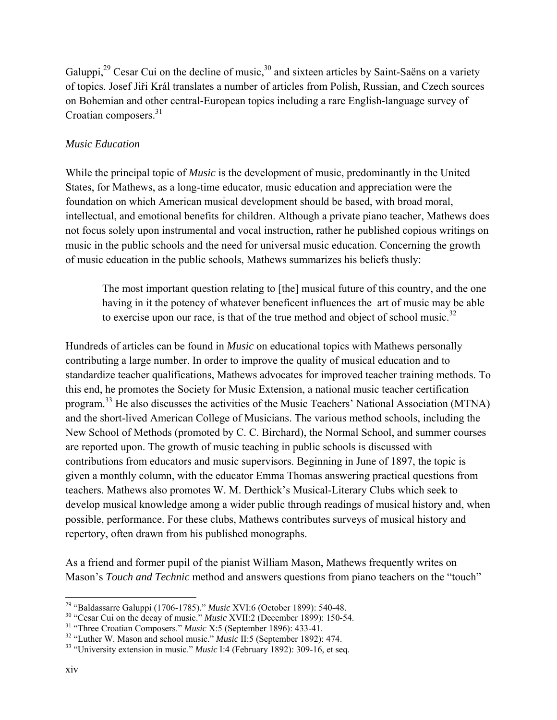Galuppi,<sup>29</sup> Cesar Cui on the decline of music,  $30$  and sixteen articles by Saint-Saëns on a variety of topics. Josef Jiři Král translates a number of articles from Polish, Russian, and Czech sources on Bohemian and other central-European topics including a rare English-language survey of Croatian composers.<sup>31</sup>

## *Music Education*

While the principal topic of *Music* is the development of music, predominantly in the United States, for Mathews, as a long-time educator, music education and appreciation were the foundation on which American musical development should be based, with broad moral, intellectual, and emotional benefits for children. Although a private piano teacher, Mathews does not focus solely upon instrumental and vocal instruction, rather he published copious writings on music in the public schools and the need for universal music education. Concerning the growth of music education in the public schools, Mathews summarizes his beliefs thusly:

The most important question relating to [the] musical future of this country, and the one having in it the potency of whatever beneficent influences the art of music may be able to exercise upon our race, is that of the true method and object of school music.<sup>32</sup>

Hundreds of articles can be found in *Music* on educational topics with Mathews personally contributing a large number. In order to improve the quality of musical education and to standardize teacher qualifications, Mathews advocates for improved teacher training methods. To this end, he promotes the Society for Music Extension, a national music teacher certification program.33 He also discusses the activities of the Music Teachers' National Association (MTNA) and the short-lived American College of Musicians. The various method schools, including the New School of Methods (promoted by C. C. Birchard), the Normal School, and summer courses are reported upon. The growth of music teaching in public schools is discussed with contributions from educators and music supervisors. Beginning in June of 1897, the topic is given a monthly column, with the educator Emma Thomas answering practical questions from teachers. Mathews also promotes W. M. Derthick's Musical-Literary Clubs which seek to develop musical knowledge among a wider public through readings of musical history and, when possible, performance. For these clubs, Mathews contributes surveys of musical history and repertory, often drawn from his published monographs.

As a friend and former pupil of the pianist William Mason, Mathews frequently writes on Mason's *Touch and Technic* method and answers questions from piano teachers on the "touch"

 <sup>29</sup> "Baldassarre Galuppi (1706-1785)." *Music* XVI:6 (October 1899): 540-48.<br><sup>30</sup> "Cesar Cui on the decay of music." *Music* XVII:2 (December 1899): 150-54.<br><sup>31</sup> "Three Croatian Composers." *Music* X:5 (September 1896):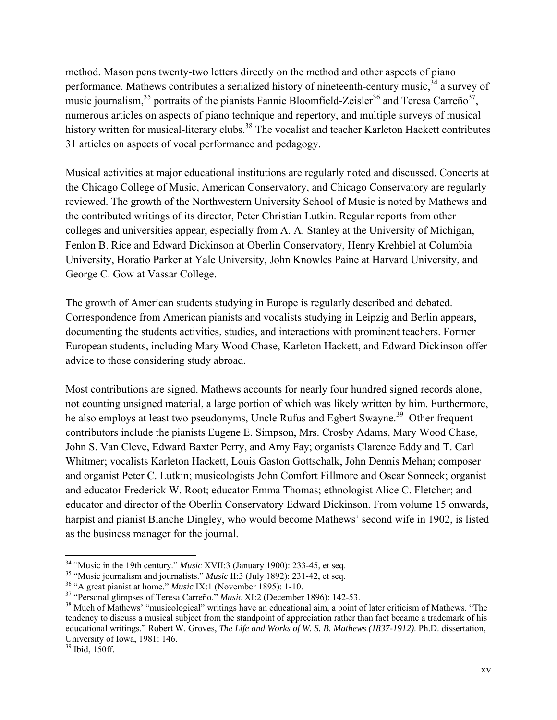method. Mason pens twenty-two letters directly on the method and other aspects of piano performance. Mathews contributes a serialized history of nineteenth-century music,<sup>34</sup> a survey of music journalism,<sup>35</sup> portraits of the pianists Fannie Bloomfield-Zeisler<sup>36</sup> and Teresa Carreño<sup>37</sup>, numerous articles on aspects of piano technique and repertory, and multiple surveys of musical history written for musical-literary clubs.<sup>38</sup> The vocalist and teacher Karleton Hackett contributes 31 articles on aspects of vocal performance and pedagogy.

Musical activities at major educational institutions are regularly noted and discussed. Concerts at the Chicago College of Music, American Conservatory, and Chicago Conservatory are regularly reviewed. The growth of the Northwestern University School of Music is noted by Mathews and the contributed writings of its director, Peter Christian Lutkin. Regular reports from other colleges and universities appear, especially from A. A. Stanley at the University of Michigan, Fenlon B. Rice and Edward Dickinson at Oberlin Conservatory, Henry Krehbiel at Columbia University, Horatio Parker at Yale University, John Knowles Paine at Harvard University, and George C. Gow at Vassar College.

The growth of American students studying in Europe is regularly described and debated. Correspondence from American pianists and vocalists studying in Leipzig and Berlin appears, documenting the students activities, studies, and interactions with prominent teachers. Former European students, including Mary Wood Chase, Karleton Hackett, and Edward Dickinson offer advice to those considering study abroad.

Most contributions are signed. Mathews accounts for nearly four hundred signed records alone, not counting unsigned material, a large portion of which was likely written by him. Furthermore, he also employs at least two pseudonyms, Uncle Rufus and Egbert Swayne.<sup>39</sup> Other frequent contributors include the pianists Eugene E. Simpson, Mrs. Crosby Adams, Mary Wood Chase, John S. Van Cleve, Edward Baxter Perry, and Amy Fay; organists Clarence Eddy and T. Carl Whitmer; vocalists Karleton Hackett, Louis Gaston Gottschalk, John Dennis Mehan; composer and organist Peter C. Lutkin; musicologists John Comfort Fillmore and Oscar Sonneck; organist and educator Frederick W. Root; educator Emma Thomas; ethnologist Alice C. Fletcher; and educator and director of the Oberlin Conservatory Edward Dickinson. From volume 15 onwards, harpist and pianist Blanche Dingley, who would become Mathews' second wife in 1902, is listed as the business manager for the journal.

<sup>&</sup>lt;sup>34</sup> "Music in the 19th century." *Music* XVII:3 (January 1900): 233-45, et seq.

<sup>&</sup>lt;sup>35</sup> "Music journalism and journalists." *Music* II:3 (July 1892): 231-42, et seq.<br><sup>36</sup> "A great pianist at home." *Music* IX:1 (November 1895): 1-10.<br><sup>37</sup> "Personal glimpses of Teresa Carreño." *Music* XI:2 (December 189 tendency to discuss a musical subject from the standpoint of appreciation rather than fact became a trademark of his educational writings." Robert W. Groves, *The Life and Works of W. S. B. Mathews (1837-1912)*. Ph.D. dissertation, University of Iowa, 1981: 146.

<sup>39</sup> Ibid, 150ff.